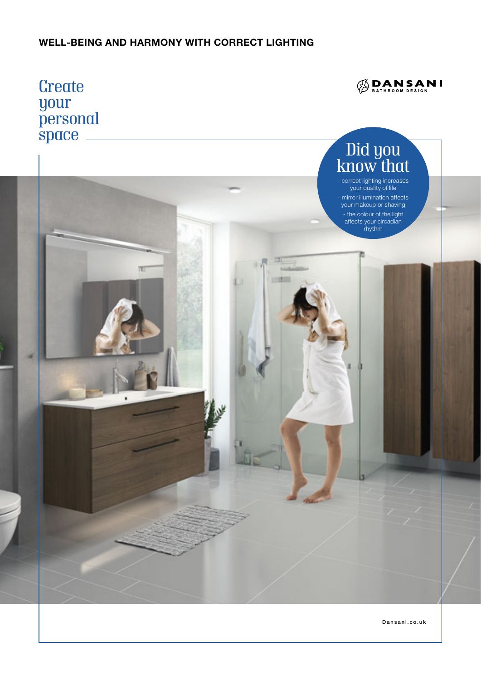### WELL-BEING AND HARMONY WITH CORRECT LIGHTING



Dansani.co.uk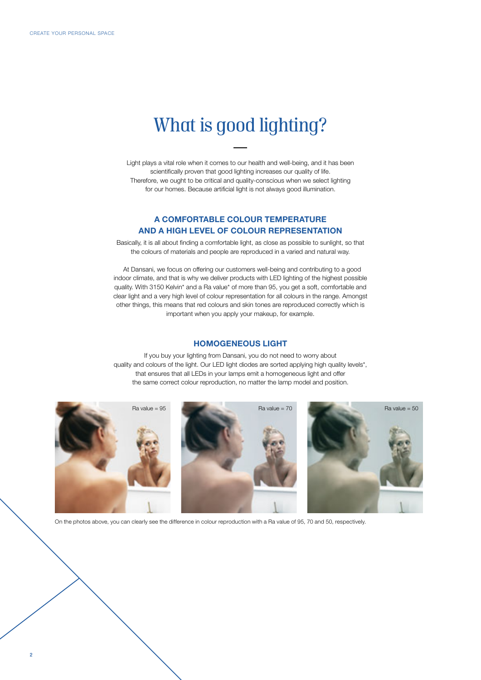## *What is good lighting?*

Light plays a vital role when it comes to our health and well-being, and it has been scientifically proven that good lighting increases our quality of life. Therefore, we ought to be critical and quality-conscious when we select lighting for our homes. Because artificial light is not always good illumination.

#### A COMFORTABLE COLOUR TEMPERATURE AND A HIGH LEVEL OF COLOUR REPRESENTATION

Basically, it is all about finding a comfortable light, as close as possible to sunlight, so that the colours of materials and people are reproduced in a varied and natural way.

 At Dansani, we focus on offering our customers well-being and contributing to a good indoor climate, and that is why we deliver products with LED lighting of the highest possible quality. With 3150 Kelvin\* and a Ra value\* of more than 95, you get a soft, comfortable and clear light and a very high level of colour representation for all colours in the range. Amongst other things, this means that red colours and skin tones are reproduced correctly which is important when you apply your makeup, for example.

#### HOMOGENEOUS LIGHT

If you buy your lighting from Dansani, you do not need to worry about quality and colours of the light. Our LED light diodes are sorted applying high quality levels\*, that ensures that all LEDs in your lamps emit a homogeneous light and offer the same correct colour reproduction, no matter the lamp model and position.



On the photos above, you can clearly see the difference in colour reproduction with a Ra value of 95, 70 and 50, respectively.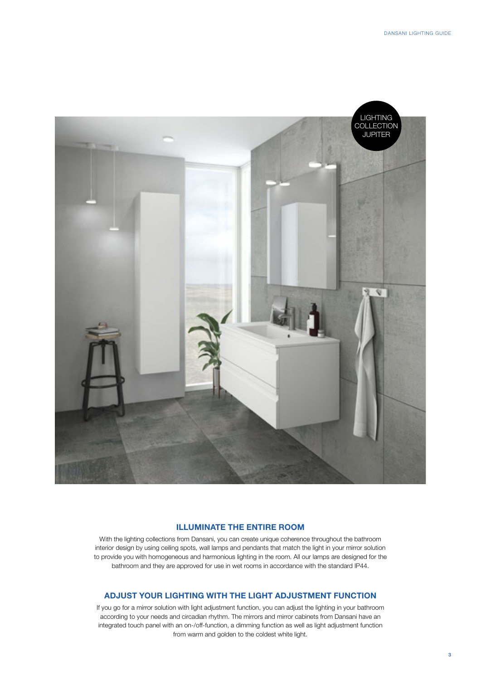

#### ILLUMINATE THE ENTIRE ROOM

With the lighting collections from Dansani, you can create unique coherence throughout the bathroom interior design by using ceiling spots, wall lamps and pendants that match the light in your mirror solution to provide you with homogeneous and harmonious lighting in the room. All our lamps are designed for the bathroom and they are approved for use in wet rooms in accordance with the standard IP44.

#### ADJUST YOUR LIGHTING WITH THE LIGHT ADJUSTMENT FUNCTION

If you go for a mirror solution with light adjustment function, you can adjust the lighting in your bathroom according to your needs and circadian rhythm. The mirrors and mirror cabinets from Dansani have an integrated touch panel with an on-/off-function, a dimming function as well as light adjustment function from warm and golden to the coldest white light.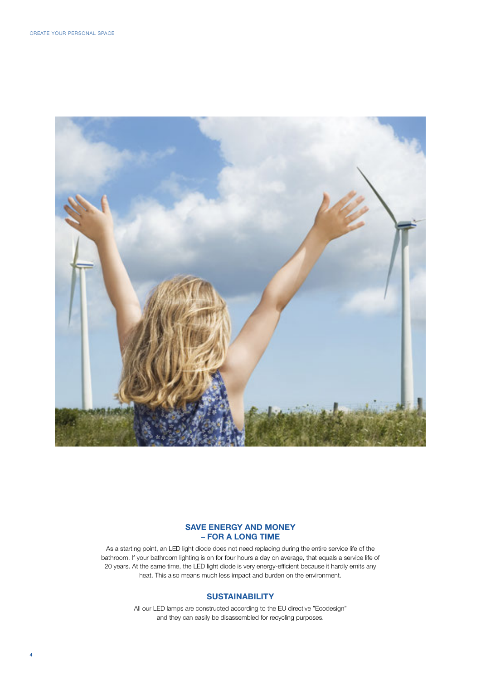

#### SAVE ENERGY AND MONEY – FOR A LONG TIME

As a starting point, an LED light diode does not need replacing during the entire service life of the bathroom. If your bathroom lighting is on for four hours a day on average, that equals a service life of 20 years. At the same time, the LED light diode is very energy-efficient because it hardly emits any heat. This also means much less impact and burden on the environment.

#### **SUSTAINABILITY**

All our LED lamps are constructed according to the EU directive "Ecodesign" and they can easily be disassembled for recycling purposes.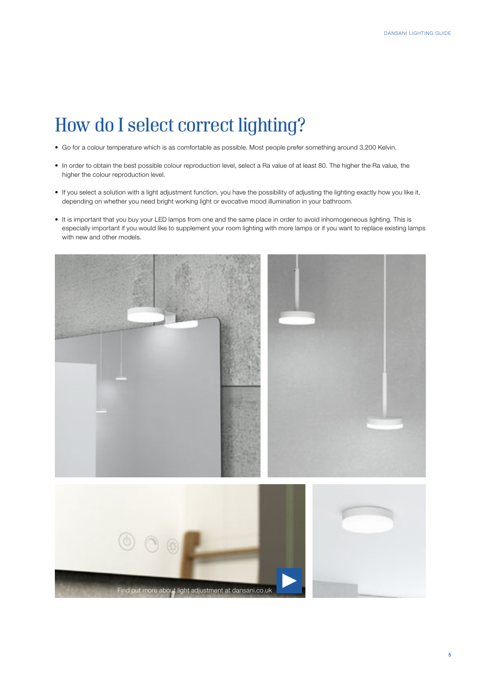# *How do I select correct lighting?*

- Go for a colour temperature which is as comfortable as possible. Most people prefer something around 3,200 Kelvin.
- In order to obtain the best possible colour reproduction level, select a Ra value of at least 80. The higher the Ra value, the higher the colour reproduction level.
- If you select a solution with a light adjustment function, you have the possibility of adjusting the lighting exactly how you like it, depending on whether you need bright working light or evocative mood illumination in your bathroom.
- It is important that you buy your LED lamps from one and the same place in order to avoid inhomogeneous lighting. This is especially important if you would like to supplement your room lighting with more lamps or if you want to replace existing lamps with new and other models.